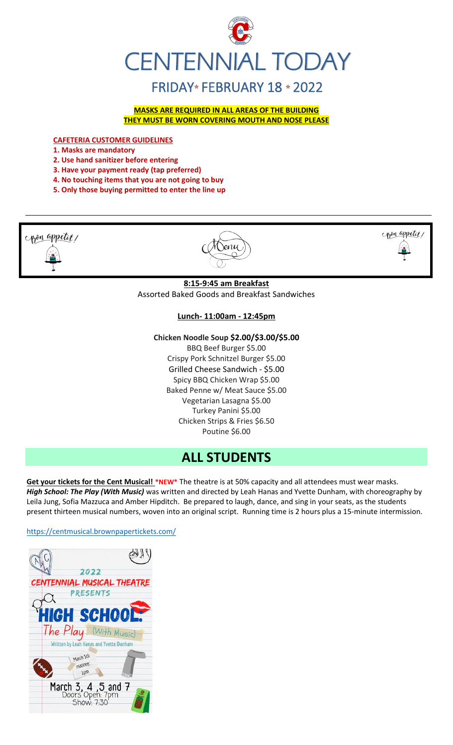

**MASKS ARE REQUIRED IN ALL AREAS OF THE BUILDING THEY MUST BE WORN COVERING MOUTH AND NOSE PLEASE**

**CAFETERIA CUSTOMER GUIDELINES**

**1. Masks are mandatory**

- **2. Use hand sanitizer before entering**
- **3. Have your payment ready (tap preferred)**
- **4. No touching items that you are not going to buy**
- **5. Only those buying permitted to enter the line up**



# **Lunch- 11:00am - 12:45pm**

### **Chicken Noodle Soup \$2.00/\$3.00/\$5.00**

BBQ Beef Burger \$5.00 Crispy Pork Schnitzel Burger \$5.00 Grilled Cheese Sandwich - \$5.00 Spicy BBQ Chicken Wrap \$5.00 Baked Penne w/ Meat Sauce \$5.00 Vegetarian Lasagna \$5.00 Turkey Panini \$5.00 Chicken Strips & Fries \$6.50 Poutine \$6.00

# **ALL STUDENTS**

**Get your tickets for the Cent Musical! \*NEW\*** The theatre is at 50% capacity and all attendees must wear masks. *High School: The Play (With Music)* was written and directed by Leah Hanas and Yvette Dunham, with choreography by Leila Jung, Sofia Mazzuca and Amber Hipditch. Be prepared to laugh, dance, and sing in your seats, as the students present thirteen musical numbers, woven into an original script. Running time is 2 hours plus a 15-minute intermission.

<https://centmusical.brownpapertickets.com/>

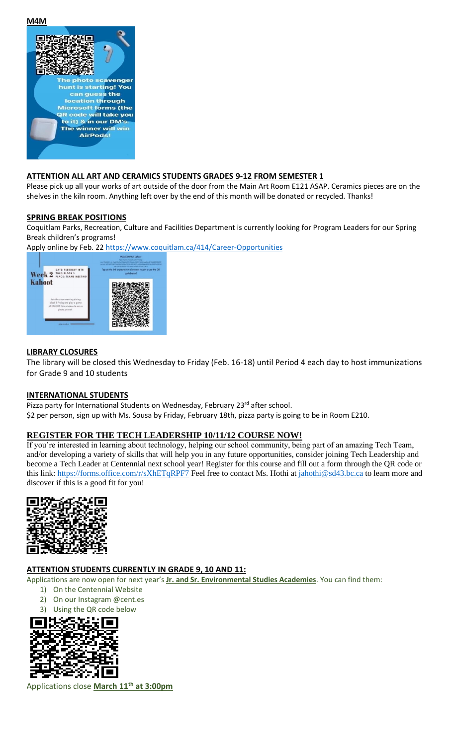

### **ATTENTION ALL ART AND CERAMICS STUDENTS GRADES 9-12 FROM SEMESTER 1**

Please pick up all your works of art outside of the door from the Main Art Room E121 ASAP. Ceramics pieces are on the shelves in the kiln room. Anything left over by the end of this month will be donated or recycled. Thanks!

### **SPRING BREAK POSITIONS**

Coquitlam Parks, Recreation, Culture and Facilities Department is currently looking for Program Leaders for our Spring Break children's programs!

Apply online by Feb. 2[2 https://www.coquitlam.ca/414/Career-Opportunities](https://www.coquitlam.ca/414/Career-Opportunities)



### **LIBRARY CLOSURES**

The library will be closed this Wednesday to Friday (Feb. 16-18) until Period 4 each day to host immunizations for Grade 9 and 10 students

### **INTERNATIONAL STUDENTS**

Pizza party for International Students on Wednesday, February 23<sup>rd</sup> after school. \$2 per person, sign up with Ms. Sousa by Friday, February 18th, pizza party is going to be in Room E210.

# **REGISTER FOR THE TECH LEADERSHIP 10/11/12 COURSE NOW!**

If you're interested in learning about technology, helping our school community, being part of an amazing Tech Team, and/or developing a variety of skills that will help you in any future opportunities, consider joining Tech Leadership and become a Tech Leader at Centennial next school year! Register for this course and fill out a form through the QR code or this link:<https://forms.office.com/r/sXhETqRPF7> Feel free to contact Ms. Hothi at [jahothi@sd43.bc.ca](mailto:jahothi@sd43.bc.ca) to learn more and discover if this is a good fit for you!



# **ATTENTION STUDENTS CURRENTLY IN GRADE 9, 10 AND 11:**

Applications are now open for next year's **Jr. and Sr. Environmental Studies Academies**. You can find them:

- 1) On the Centennial Website
- 2) On our Instagram @cent.es
- 3) Using the QR code below



Applications close **March 11th at 3:00pm**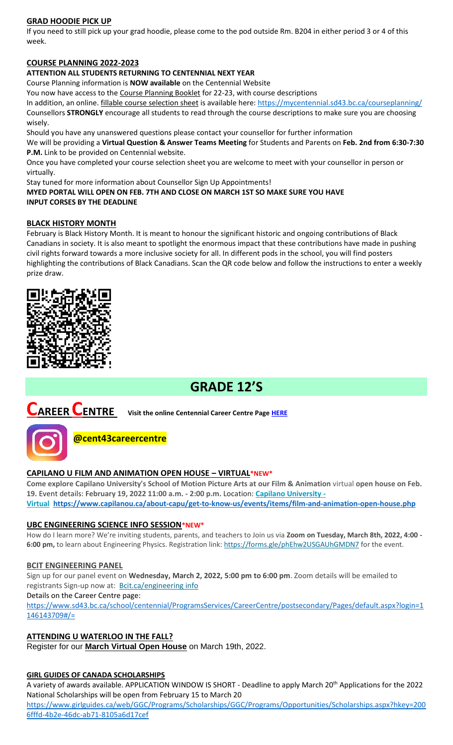# **GRAD HOODIE PICK UP**

If you need to still pick up your grad hoodie, please come to the pod outside Rm. B204 in either period 3 or 4 of this week.

# **COURSE PLANNING 2022-2023**

### **ATTENTION ALL STUDENTS RETURNING TO CENTENNIAL NEXT YEAR**

Course Planning information is **NOW available** on the Centennial Website

You now have access to the Course Planning Booklet for 22-23, with course descriptions

In addition, an online. fillable course selection sheet is available here:<https://mycentennial.sd43.bc.ca/courseplanning/> Counsellors **STRONGLY** encourage all students to read through the course descriptions to make sure you are choosing wisely.

Should you have any unanswered questions please contact your counsellor for further information

We will be providing a **Virtual Question & Answer Teams Meeting** for Students and Parents on **Feb. 2nd from 6:30-7:30 P.M.** Link to be provided on Centennial website.

Once you have completed your course selection sheet you are welcome to meet with your counsellor in person or virtually.

Stay tuned for more information about Counsellor Sign Up Appointments!

**MYED PORTAL WILL OPEN ON FEB. 7TH AND CLOSE ON MARCH 1ST SO MAKE SURE YOU HAVE INPUT CORSES BY THE DEADLINE** 

## **BLACK HISTORY MONTH**

February is Black History Month. It is meant to honour the significant historic and ongoing contributions of Black Canadians in society. It is also meant to spotlight the enormous impact that these contributions have made in pushing civil rights forward towards a more inclusive society for all. In different pods in the school, you will find posters highlighting the contributions of Black Canadians. Scan the QR code below and follow the instructions to enter a weekly prize draw.



# **GRADE 12'S**

**CAREER CENTRE Visit the online Centennial Career Centre Page [HERE](https://www.sd43.bc.ca/school/centennial/ProgramsServices/CareerCentre/experiences/Pages/default.aspx#/=)**



# **@cent43careercentre**

## **CAPILANO U FILM AND ANIMATION OPEN HOUSE – VIRTUAL\*NEW\***

**Come explore Capilano University's School of Motion Picture Arts at our Film & Animation** virtual **open house on Feb. 19.** Event details: **February 19, 2022 11:00 a.m. - 2:00 p.m.** Location: **[Capilano University -](https://www.capilanou.ca/about-capu/get-to-know-us/events/?search=all&categories%5b%5d=Venues%3ECapilano%20University%20-%20Virtual) [Virtual](https://www.capilanou.ca/about-capu/get-to-know-us/events/?search=all&categories%5b%5d=Venues%3ECapilano%20University%20-%20Virtual) <https://www.capilanou.ca/about-capu/get-to-know-us/events/items/film-and-animation-open-house.php>**

# **UBC ENGINEERING SCIENCE INFO SESSION\*NEW\***

How do I learn more? We're inviting students, parents, and teachers to Join us via **Zoom on Tuesday, March 8th, 2022, 4:00**  6:00 pm, to learn about Engineering Physics. Registration link: <https://forms.gle/phEhw2USGAUhGMDN7> for the event.

### **BCIT ENGINEERING PANEL**

Sign up for our panel event on **Wednesday, March 2, 2022, 5:00 pm to 6:00 pm**. Zoom details will be emailed to registrants Sign-up now at: [Bcit.ca/engineering](https://www.bcit.ca/event/engineering-panel-online-information-session/) info

Details on the Career Centre page:

[https://www.sd43.bc.ca/school/centennial/ProgramsServices/CareerCentre/postsecondary/Pages/default.aspx?login=1](https://www.sd43.bc.ca/school/centennial/ProgramsServices/CareerCentre/postsecondary/Pages/default.aspx?login=1146143709#/=) [146143709#/=](https://www.sd43.bc.ca/school/centennial/ProgramsServices/CareerCentre/postsecondary/Pages/default.aspx?login=1146143709#/=)

# **ATTENDING U WATERLOO IN THE FALL?**

Register for our **[March Virtual Open House](https://uwaterloo.us3.list-manage.com/track/click?u=a81bb5075c90cdf7258cb7029&id=a88e5ad2bb&e=c0c4fc71cc)** on March 19th, 2022.

### **GIRL GUIDES OF CANADA SCHOLARSHIPS**

A variety of awards available. APPLICATION WINDOW IS SHORT - Deadline to apply March 20th Applications for the 2022 National Scholarships will be open from February 15 to March 20

[https://www.girlguides.ca/web/GGC/Programs/Scholarships/GGC/Programs/Opportunities/Scholarships.aspx?hkey=200](https://www.girlguides.ca/web/GGC/Programs/Scholarships/GGC/Programs/Opportunities/Scholarships.aspx?hkey=2006fffd-4b2e-​46dc-ab71-8105a6d17cef) [6fffd-4b2e-46dc-ab71-8105a6d17cef](https://www.girlguides.ca/web/GGC/Programs/Scholarships/GGC/Programs/Opportunities/Scholarships.aspx?hkey=2006fffd-4b2e-​46dc-ab71-8105a6d17cef)